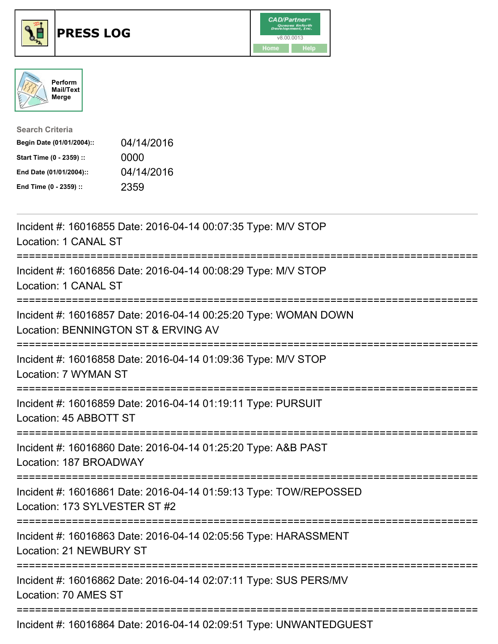





| <b>Search Criteria</b>    |            |
|---------------------------|------------|
| Begin Date (01/01/2004):: | 04/14/2016 |
| Start Time (0 - 2359) ::  | 0000       |
| End Date (01/01/2004)::   | 04/14/2016 |
| End Time (0 - 2359) ::    | 2359       |

| Incident #: 16016855 Date: 2016-04-14 00:07:35 Type: M/V STOP<br>Location: 1 CANAL ST                                          |
|--------------------------------------------------------------------------------------------------------------------------------|
| Incident #: 16016856 Date: 2016-04-14 00:08:29 Type: M/V STOP<br>Location: 1 CANAL ST                                          |
| Incident #: 16016857 Date: 2016-04-14 00:25:20 Type: WOMAN DOWN<br>Location: BENNINGTON ST & ERVING AV                         |
| Incident #: 16016858 Date: 2016-04-14 01:09:36 Type: M/V STOP<br>Location: 7 WYMAN ST                                          |
| Incident #: 16016859 Date: 2016-04-14 01:19:11 Type: PURSUIT<br>Location: 45 ABBOTT ST                                         |
| Incident #: 16016860 Date: 2016-04-14 01:25:20 Type: A&B PAST<br>Location: 187 BROADWAY                                        |
| Incident #: 16016861 Date: 2016-04-14 01:59:13 Type: TOW/REPOSSED<br>Location: 173 SYLVESTER ST #2<br>;======================= |
| Incident #: 16016863 Date: 2016-04-14 02:05:56 Type: HARASSMENT<br><b>Location: 21 NEWBURY ST</b>                              |
| ------------------<br>Incident #: 16016862 Date: 2016-04-14 02:07:11 Type: SUS PERS/MV<br>Location: 70 AMES ST                 |
| Incident #: 16016864 Date: 2016-04-14 02:09:51 Type: UNWANTEDGUEST                                                             |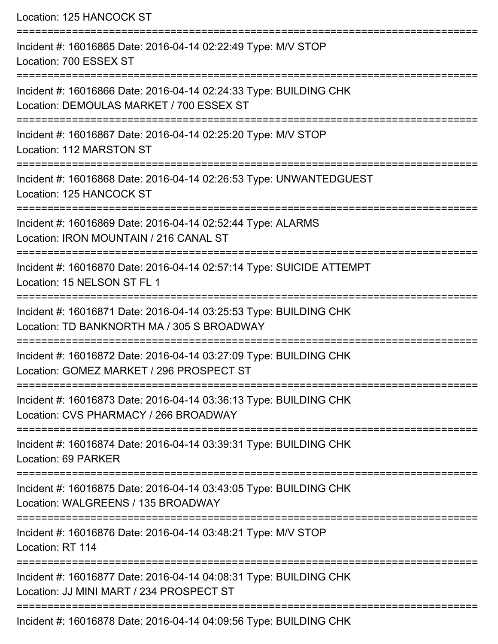Location: 125 HANCOCK ST

| Incident #: 16016865 Date: 2016-04-14 02:22:49 Type: M/V STOP<br>Location: 700 ESSEX ST                         |
|-----------------------------------------------------------------------------------------------------------------|
| Incident #: 16016866 Date: 2016-04-14 02:24:33 Type: BUILDING CHK<br>Location: DEMOULAS MARKET / 700 ESSEX ST   |
| Incident #: 16016867 Date: 2016-04-14 02:25:20 Type: M/V STOP<br>Location: 112 MARSTON ST                       |
| Incident #: 16016868 Date: 2016-04-14 02:26:53 Type: UNWANTEDGUEST<br>Location: 125 HANCOCK ST                  |
| Incident #: 16016869 Date: 2016-04-14 02:52:44 Type: ALARMS<br>Location: IRON MOUNTAIN / 216 CANAL ST           |
| Incident #: 16016870 Date: 2016-04-14 02:57:14 Type: SUICIDE ATTEMPT<br>Location: 15 NELSON ST FL 1             |
| Incident #: 16016871 Date: 2016-04-14 03:25:53 Type: BUILDING CHK<br>Location: TD BANKNORTH MA / 305 S BROADWAY |
| Incident #: 16016872 Date: 2016-04-14 03:27:09 Type: BUILDING CHK<br>Location: GOMEZ MARKET / 296 PROSPECT ST   |
| Incident #: 16016873 Date: 2016-04-14 03:36:13 Type: BUILDING CHK<br>Location: CVS PHARMACY / 266 BROADWAY      |
| Incident #: 16016874 Date: 2016-04-14 03:39:31 Type: BUILDING CHK<br>Location: 69 PARKER                        |
| Incident #: 16016875 Date: 2016-04-14 03:43:05 Type: BUILDING CHK<br>Location: WALGREENS / 135 BROADWAY         |
| Incident #: 16016876 Date: 2016-04-14 03:48:21 Type: M/V STOP<br>Location: RT 114                               |
| Incident #: 16016877 Date: 2016-04-14 04:08:31 Type: BUILDING CHK<br>Location: JJ MINI MART / 234 PROSPECT ST   |
| Incident #: 16016878 Date: 2016-04-14 04:09:56 Type: BUILDING CHK                                               |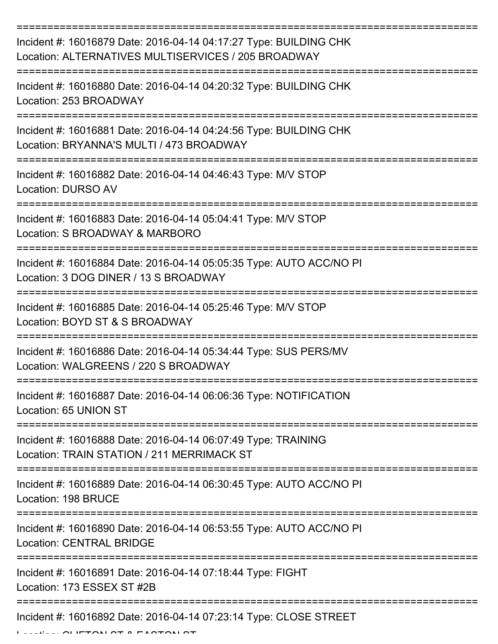| Incident #: 16016879 Date: 2016-04-14 04:17:27 Type: BUILDING CHK<br>Location: ALTERNATIVES MULTISERVICES / 205 BROADWAY |
|--------------------------------------------------------------------------------------------------------------------------|
| Incident #: 16016880 Date: 2016-04-14 04:20:32 Type: BUILDING CHK<br>Location: 253 BROADWAY                              |
| Incident #: 16016881 Date: 2016-04-14 04:24:56 Type: BUILDING CHK<br>Location: BRYANNA'S MULTI / 473 BROADWAY            |
| Incident #: 16016882 Date: 2016-04-14 04:46:43 Type: M/V STOP<br><b>Location: DURSO AV</b>                               |
| Incident #: 16016883 Date: 2016-04-14 05:04:41 Type: M/V STOP<br>Location: S BROADWAY & MARBORO                          |
| Incident #: 16016884 Date: 2016-04-14 05:05:35 Type: AUTO ACC/NO PI<br>Location: 3 DOG DINER / 13 S BROADWAY             |
| Incident #: 16016885 Date: 2016-04-14 05:25:46 Type: M/V STOP<br>Location: BOYD ST & S BROADWAY                          |
| Incident #: 16016886 Date: 2016-04-14 05:34:44 Type: SUS PERS/MV<br>Location: WALGREENS / 220 S BROADWAY                 |
| Incident #: 16016887 Date: 2016-04-14 06:06:36 Type: NOTIFICATION<br>Location: 65 UNION ST                               |
| Incident #: 16016888 Date: 2016-04-14 06:07:49 Type: TRAINING<br>Location: TRAIN STATION / 211 MERRIMACK ST              |
| Incident #: 16016889 Date: 2016-04-14 06:30:45 Type: AUTO ACC/NO PI<br>Location: 198 BRUCE                               |
| Incident #: 16016890 Date: 2016-04-14 06:53:55 Type: AUTO ACC/NO PI<br><b>Location: CENTRAL BRIDGE</b>                   |
| Incident #: 16016891 Date: 2016-04-14 07:18:44 Type: FIGHT<br>Location: 173 ESSEX ST #2B                                 |
| Incident #: 16016892 Date: 2016-04-14 07:23:14 Type: CLOSE STREET                                                        |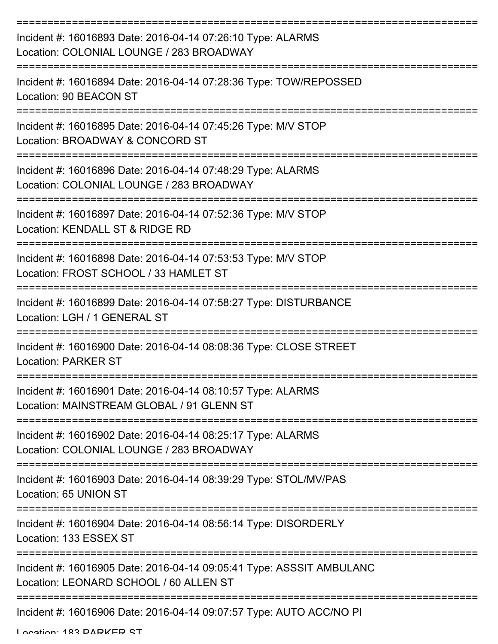| Incident #: 16016893 Date: 2016-04-14 07:26:10 Type: ALARMS<br>Location: COLONIAL LOUNGE / 283 BROADWAY                             |
|-------------------------------------------------------------------------------------------------------------------------------------|
| Incident #: 16016894 Date: 2016-04-14 07:28:36 Type: TOW/REPOSSED<br>Location: 90 BEACON ST                                         |
| Incident #: 16016895 Date: 2016-04-14 07:45:26 Type: M/V STOP<br>Location: BROADWAY & CONCORD ST                                    |
| Incident #: 16016896 Date: 2016-04-14 07:48:29 Type: ALARMS<br>Location: COLONIAL LOUNGE / 283 BROADWAY                             |
| Incident #: 16016897 Date: 2016-04-14 07:52:36 Type: M/V STOP<br>Location: KENDALL ST & RIDGE RD                                    |
| Incident #: 16016898 Date: 2016-04-14 07:53:53 Type: M/V STOP<br>Location: FROST SCHOOL / 33 HAMLET ST                              |
| Incident #: 16016899 Date: 2016-04-14 07:58:27 Type: DISTURBANCE<br>Location: LGH / 1 GENERAL ST                                    |
| Incident #: 16016900 Date: 2016-04-14 08:08:36 Type: CLOSE STREET<br><b>Location: PARKER ST</b>                                     |
| Incident #: 16016901 Date: 2016-04-14 08:10:57 Type: ALARMS<br>Location: MAINSTREAM GLOBAL / 91 GLENN ST                            |
| Incident #: 16016902 Date: 2016-04-14 08:25:17 Type: ALARMS<br>Location: COLONIAL LOUNGE / 283 BROADWAY                             |
| Incident #: 16016903 Date: 2016-04-14 08:39:29 Type: STOL/MV/PAS<br>Location: 65 UNION ST                                           |
| --------------------------------------<br>Incident #: 16016904 Date: 2016-04-14 08:56:14 Type: DISORDERLY<br>Location: 133 ESSEX ST |
| Incident #: 16016905 Date: 2016-04-14 09:05:41 Type: ASSSIT AMBULANC<br>Location: LEONARD SCHOOL / 60 ALLEN ST                      |
| Incident #: 16016906 Date: 2016-04-14 09:07:57 Type: AUTO ACC/NO PI                                                                 |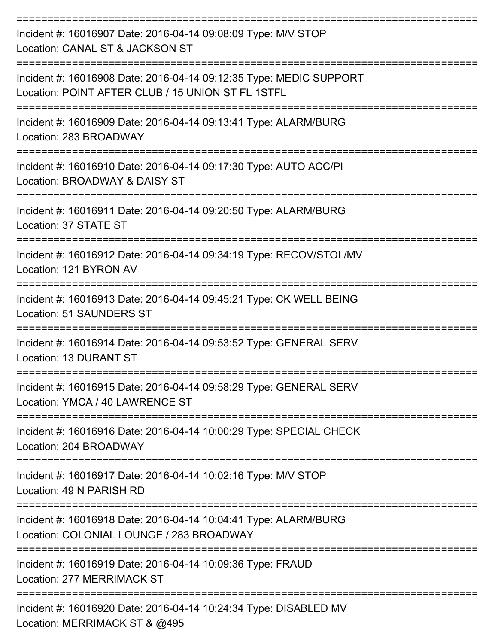| Incident #: 16016907 Date: 2016-04-14 09:08:09 Type: M/V STOP<br>Location: CANAL ST & JACKSON ST                        |
|-------------------------------------------------------------------------------------------------------------------------|
| Incident #: 16016908 Date: 2016-04-14 09:12:35 Type: MEDIC SUPPORT<br>Location: POINT AFTER CLUB / 15 UNION ST FL 1STFL |
| Incident #: 16016909 Date: 2016-04-14 09:13:41 Type: ALARM/BURG<br>Location: 283 BROADWAY                               |
| :==============<br>Incident #: 16016910 Date: 2016-04-14 09:17:30 Type: AUTO ACC/PI<br>Location: BROADWAY & DAISY ST    |
| --------------<br>Incident #: 16016911 Date: 2016-04-14 09:20:50 Type: ALARM/BURG<br>Location: 37 STATE ST              |
| Incident #: 16016912 Date: 2016-04-14 09:34:19 Type: RECOV/STOL/MV<br>Location: 121 BYRON AV                            |
| Incident #: 16016913 Date: 2016-04-14 09:45:21 Type: CK WELL BEING<br><b>Location: 51 SAUNDERS ST</b>                   |
| Incident #: 16016914 Date: 2016-04-14 09:53:52 Type: GENERAL SERV<br><b>Location: 13 DURANT ST</b>                      |
| Incident #: 16016915 Date: 2016-04-14 09:58:29 Type: GENERAL SERV<br>Location: YMCA / 40 LAWRENCE ST                    |
| Incident #: 16016916 Date: 2016-04-14 10:00:29 Type: SPECIAL CHECK<br>Location: 204 BROADWAY                            |
| Incident #: 16016917 Date: 2016-04-14 10:02:16 Type: M/V STOP<br>Location: 49 N PARISH RD                               |
| Incident #: 16016918 Date: 2016-04-14 10:04:41 Type: ALARM/BURG<br>Location: COLONIAL LOUNGE / 283 BROADWAY             |
| Incident #: 16016919 Date: 2016-04-14 10:09:36 Type: FRAUD<br>Location: 277 MERRIMACK ST                                |
| Incident #: 16016920 Date: 2016-04-14 10:24:34 Type: DISABLED MV                                                        |

Location: MERRIMACK ST & @495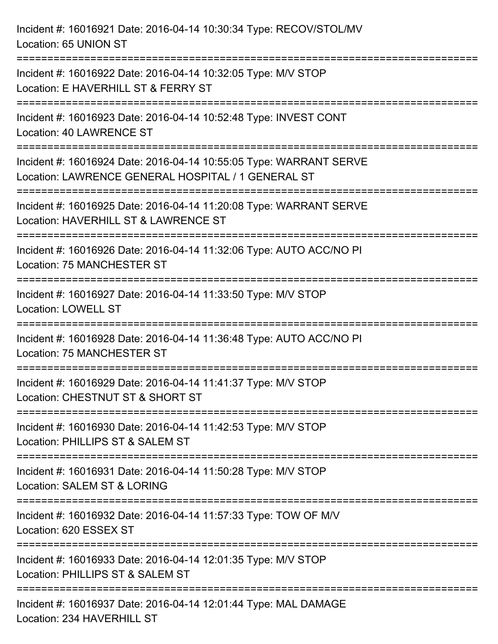| Incident #: 16016921 Date: 2016-04-14 10:30:34 Type: RECOV/STOL/MV<br>Location: 65 UNION ST                                           |
|---------------------------------------------------------------------------------------------------------------------------------------|
| Incident #: 16016922 Date: 2016-04-14 10:32:05 Type: M/V STOP<br>Location: E HAVERHILL ST & FERRY ST                                  |
| Incident #: 16016923 Date: 2016-04-14 10:52:48 Type: INVEST CONT<br>Location: 40 LAWRENCE ST                                          |
| Incident #: 16016924 Date: 2016-04-14 10:55:05 Type: WARRANT SERVE<br>Location: LAWRENCE GENERAL HOSPITAL / 1 GENERAL ST              |
| Incident #: 16016925 Date: 2016-04-14 11:20:08 Type: WARRANT SERVE<br>Location: HAVERHILL ST & LAWRENCE ST<br>======================= |
| Incident #: 16016926 Date: 2016-04-14 11:32:06 Type: AUTO ACC/NO PI<br><b>Location: 75 MANCHESTER ST</b>                              |
| Incident #: 16016927 Date: 2016-04-14 11:33:50 Type: M/V STOP<br><b>Location: LOWELL ST</b>                                           |
| Incident #: 16016928 Date: 2016-04-14 11:36:48 Type: AUTO ACC/NO PI<br>Location: 75 MANCHESTER ST                                     |
| Incident #: 16016929 Date: 2016-04-14 11:41:37 Type: M/V STOP<br>Location: CHESTNUT ST & SHORT ST                                     |
| Incident #: 16016930 Date: 2016-04-14 11:42:53 Type: M/V STOP<br>Location: PHILLIPS ST & SALEM ST                                     |
| Incident #: 16016931 Date: 2016-04-14 11:50:28 Type: M/V STOP<br>Location: SALEM ST & LORING                                          |
| Incident #: 16016932 Date: 2016-04-14 11:57:33 Type: TOW OF M/V<br>Location: 620 ESSEX ST                                             |
| Incident #: 16016933 Date: 2016-04-14 12:01:35 Type: M/V STOP<br>Location: PHILLIPS ST & SALEM ST                                     |
| Incident #: 16016937 Date: 2016-04-14 12:01:44 Type: MAL DAMAGE<br>Location: 234 HAVERHILL ST                                         |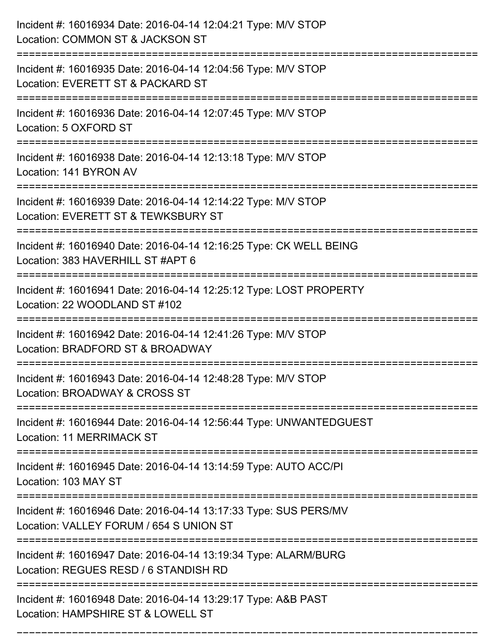| Incident #: 16016934 Date: 2016-04-14 12:04:21 Type: M/V STOP<br>Location: COMMON ST & JACKSON ST                                                                             |
|-------------------------------------------------------------------------------------------------------------------------------------------------------------------------------|
| Incident #: 16016935 Date: 2016-04-14 12:04:56 Type: M/V STOP<br>Location: EVERETT ST & PACKARD ST                                                                            |
| Incident #: 16016936 Date: 2016-04-14 12:07:45 Type: M/V STOP<br>Location: 5 OXFORD ST                                                                                        |
| Incident #: 16016938 Date: 2016-04-14 12:13:18 Type: M/V STOP<br>Location: 141 BYRON AV                                                                                       |
| Incident #: 16016939 Date: 2016-04-14 12:14:22 Type: M/V STOP<br>Location: EVERETT ST & TEWKSBURY ST                                                                          |
| Incident #: 16016940 Date: 2016-04-14 12:16:25 Type: CK WELL BEING<br>Location: 383 HAVERHILL ST #APT 6<br>==========================<br>------------------------------------ |
| Incident #: 16016941 Date: 2016-04-14 12:25:12 Type: LOST PROPERTY<br>Location: 22 WOODLAND ST #102                                                                           |
| Incident #: 16016942 Date: 2016-04-14 12:41:26 Type: M/V STOP<br>Location: BRADFORD ST & BROADWAY                                                                             |
| Incident #: 16016943 Date: 2016-04-14 12:48:28 Type: M/V STOP<br>Location: BROADWAY & CROSS ST                                                                                |
| Incident #: 16016944 Date: 2016-04-14 12:56:44 Type: UNWANTEDGUEST<br>Location: 11 MERRIMACK ST                                                                               |
| Incident #: 16016945 Date: 2016-04-14 13:14:59 Type: AUTO ACC/PI<br>Location: 103 MAY ST                                                                                      |
| Incident #: 16016946 Date: 2016-04-14 13:17:33 Type: SUS PERS/MV<br>Location: VALLEY FORUM / 654 S UNION ST                                                                   |
| Incident #: 16016947 Date: 2016-04-14 13:19:34 Type: ALARM/BURG<br>Location: REGUES RESD / 6 STANDISH RD                                                                      |
| Incident #: 16016948 Date: 2016-04-14 13:29:17 Type: A&B PAST<br>Location: HAMPSHIRE ST & LOWELL ST                                                                           |

===========================================================================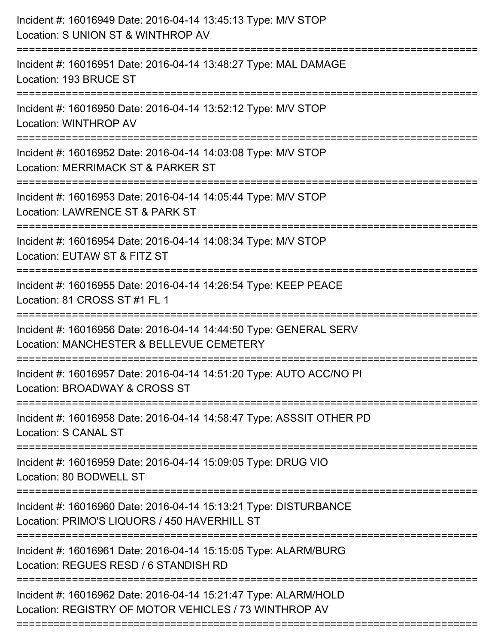| Incident #: 16016949 Date: 2016-04-14 13:45:13 Type: M/V STOP<br>Location: S UNION ST & WINTHROP AV                      |
|--------------------------------------------------------------------------------------------------------------------------|
| Incident #: 16016951 Date: 2016-04-14 13:48:27 Type: MAL DAMAGE<br>Location: 193 BRUCE ST                                |
| Incident #: 16016950 Date: 2016-04-14 13:52:12 Type: M/V STOP<br>Location: WINTHROP AV                                   |
| Incident #: 16016952 Date: 2016-04-14 14:03:08 Type: M/V STOP<br>Location: MERRIMACK ST & PARKER ST                      |
| Incident #: 16016953 Date: 2016-04-14 14:05:44 Type: M/V STOP<br>Location: LAWRENCE ST & PARK ST                         |
| Incident #: 16016954 Date: 2016-04-14 14:08:34 Type: M/V STOP<br>Location: EUTAW ST & FITZ ST                            |
| Incident #: 16016955 Date: 2016-04-14 14:26:54 Type: KEEP PEACE<br>Location: 81 CROSS ST #1 FL 1                         |
| Incident #: 16016956 Date: 2016-04-14 14:44:50 Type: GENERAL SERV<br>Location: MANCHESTER & BELLEVUE CEMETERY            |
| Incident #: 16016957 Date: 2016-04-14 14:51:20 Type: AUTO ACC/NO PI<br>Location: BROADWAY & CROSS ST                     |
| Incident #: 16016958 Date: 2016-04-14 14:58:47 Type: ASSSIT OTHER PD<br><b>Location: S CANAL ST</b>                      |
| Incident #: 16016959 Date: 2016-04-14 15:09:05 Type: DRUG VIO<br>Location: 80 BODWELL ST                                 |
| Incident #: 16016960 Date: 2016-04-14 15:13:21 Type: DISTURBANCE<br>Location: PRIMO'S LIQUORS / 450 HAVERHILL ST         |
| Incident #: 16016961 Date: 2016-04-14 15:15:05 Type: ALARM/BURG<br>Location: REGUES RESD / 6 STANDISH RD                 |
| Incident #: 16016962 Date: 2016-04-14 15:21:47 Type: ALARM/HOLD<br>Location: REGISTRY OF MOTOR VEHICLES / 73 WINTHROP AV |
|                                                                                                                          |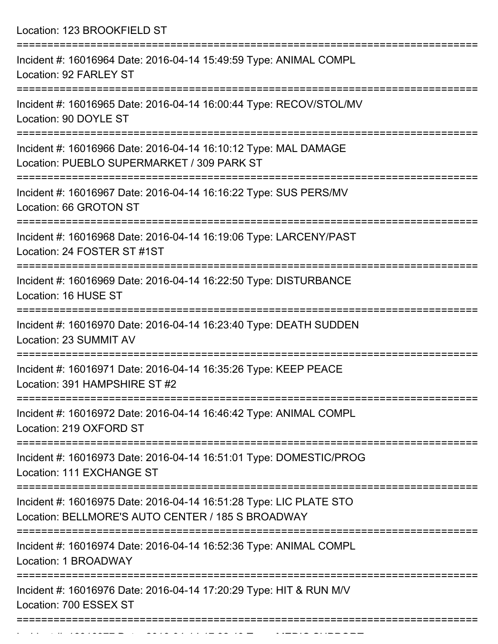Location: 123 BROOKFIELD ST

| Incident #: 16016964 Date: 2016-04-14 15:49:59 Type: ANIMAL COMPL<br>Location: 92 FARLEY ST                             |
|-------------------------------------------------------------------------------------------------------------------------|
| Incident #: 16016965 Date: 2016-04-14 16:00:44 Type: RECOV/STOL/MV<br>Location: 90 DOYLE ST                             |
| Incident #: 16016966 Date: 2016-04-14 16:10:12 Type: MAL DAMAGE<br>Location: PUEBLO SUPERMARKET / 309 PARK ST           |
| Incident #: 16016967 Date: 2016-04-14 16:16:22 Type: SUS PERS/MV<br>Location: 66 GROTON ST                              |
| Incident #: 16016968 Date: 2016-04-14 16:19:06 Type: LARCENY/PAST<br>Location: 24 FOSTER ST #1ST                        |
| Incident #: 16016969 Date: 2016-04-14 16:22:50 Type: DISTURBANCE<br>Location: 16 HUSE ST                                |
| Incident #: 16016970 Date: 2016-04-14 16:23:40 Type: DEATH SUDDEN<br>Location: 23 SUMMIT AV                             |
| Incident #: 16016971 Date: 2016-04-14 16:35:26 Type: KEEP PEACE<br>Location: 391 HAMPSHIRE ST #2                        |
| Incident #: 16016972 Date: 2016-04-14 16:46:42 Type: ANIMAL COMPL<br>Location: 219 OXFORD ST                            |
| Incident #: 16016973 Date: 2016-04-14 16:51:01 Type: DOMESTIC/PROG<br>Location: 111 EXCHANGE ST                         |
| Incident #: 16016975 Date: 2016-04-14 16:51:28 Type: LIC PLATE STO<br>Location: BELLMORE'S AUTO CENTER / 185 S BROADWAY |
| Incident #: 16016974 Date: 2016-04-14 16:52:36 Type: ANIMAL COMPL<br>Location: 1 BROADWAY                               |
| Incident #: 16016976 Date: 2016-04-14 17:20:29 Type: HIT & RUN M/V<br>Location: 700 ESSEX ST                            |
|                                                                                                                         |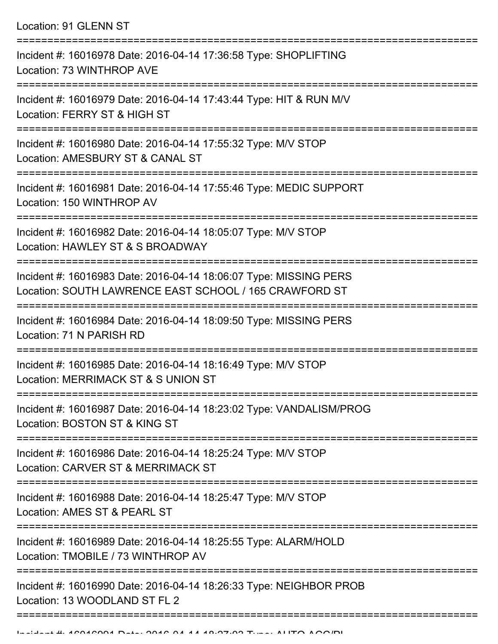Location: 91 GLENN ST

| Incident #: 16016978 Date: 2016-04-14 17:36:58 Type: SHOPLIFTING<br>Location: 73 WINTHROP AVE                               |
|-----------------------------------------------------------------------------------------------------------------------------|
| Incident #: 16016979 Date: 2016-04-14 17:43:44 Type: HIT & RUN M/V<br>Location: FERRY ST & HIGH ST                          |
| Incident #: 16016980 Date: 2016-04-14 17:55:32 Type: M/V STOP<br>Location: AMESBURY ST & CANAL ST                           |
| Incident #: 16016981 Date: 2016-04-14 17:55:46 Type: MEDIC SUPPORT<br>Location: 150 WINTHROP AV                             |
| Incident #: 16016982 Date: 2016-04-14 18:05:07 Type: M/V STOP<br>Location: HAWLEY ST & S BROADWAY                           |
| Incident #: 16016983 Date: 2016-04-14 18:06:07 Type: MISSING PERS<br>Location: SOUTH LAWRENCE EAST SCHOOL / 165 CRAWFORD ST |
| Incident #: 16016984 Date: 2016-04-14 18:09:50 Type: MISSING PERS<br>Location: 71 N PARISH RD                               |
| Incident #: 16016985 Date: 2016-04-14 18:16:49 Type: M/V STOP<br>Location: MERRIMACK ST & S UNION ST                        |
| Incident #: 16016987 Date: 2016-04-14 18:23:02 Type: VANDALISM/PROG<br>Location: BOSTON ST & KING ST                        |
| Incident #: 16016986 Date: 2016-04-14 18:25:24 Type: M/V STOP<br>Location: CARVER ST & MERRIMACK ST                         |
| Incident #: 16016988 Date: 2016-04-14 18:25:47 Type: M/V STOP<br>Location: AMES ST & PEARL ST                               |
| Incident #: 16016989 Date: 2016-04-14 18:25:55 Type: ALARM/HOLD<br>Location: TMOBILE / 73 WINTHROP AV                       |
| Incident #: 16016990 Date: 2016-04-14 18:26:33 Type: NEIGHBOR PROB<br>Location: 13 WOODLAND ST FL 2                         |
|                                                                                                                             |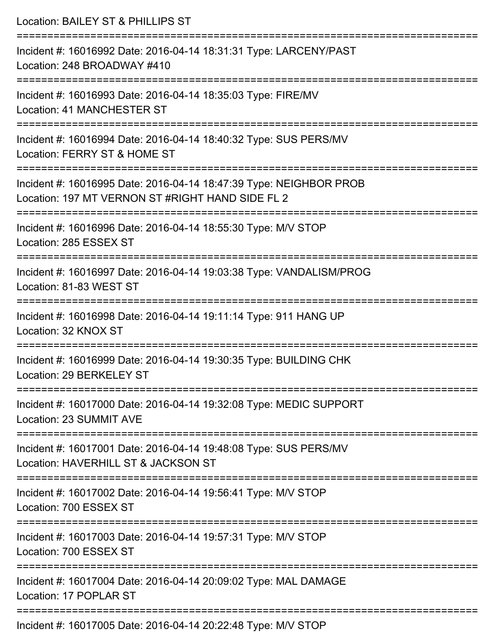| Location: BAILEY ST & PHILLIPS ST                                                                                             |
|-------------------------------------------------------------------------------------------------------------------------------|
| Incident #: 16016992 Date: 2016-04-14 18:31:31 Type: LARCENY/PAST<br>Location: 248 BROADWAY #410                              |
| Incident #: 16016993 Date: 2016-04-14 18:35:03 Type: FIRE/MV<br>Location: 41 MANCHESTER ST                                    |
| Incident #: 16016994 Date: 2016-04-14 18:40:32 Type: SUS PERS/MV<br>Location: FERRY ST & HOME ST                              |
| Incident #: 16016995 Date: 2016-04-14 18:47:39 Type: NEIGHBOR PROB<br>Location: 197 MT VERNON ST #RIGHT HAND SIDE FL 2        |
| Incident #: 16016996 Date: 2016-04-14 18:55:30 Type: M/V STOP<br>Location: 285 ESSEX ST                                       |
| ===========================<br>Incident #: 16016997 Date: 2016-04-14 19:03:38 Type: VANDALISM/PROG<br>Location: 81-83 WEST ST |
| Incident #: 16016998 Date: 2016-04-14 19:11:14 Type: 911 HANG UP<br>Location: 32 KNOX ST                                      |
| Incident #: 16016999 Date: 2016-04-14 19:30:35 Type: BUILDING CHK<br>Location: 29 BERKELEY ST                                 |
| Incident #: 16017000 Date: 2016-04-14 19:32:08 Type: MEDIC SUPPORT<br>Location: 23 SUMMIT AVE                                 |
| Incident #: 16017001 Date: 2016-04-14 19:48:08 Type: SUS PERS/MV<br>Location: HAVERHILL ST & JACKSON ST                       |
| Incident #: 16017002 Date: 2016-04-14 19:56:41 Type: M/V STOP<br>Location: 700 ESSEX ST                                       |
| Incident #: 16017003 Date: 2016-04-14 19:57:31 Type: M/V STOP<br>Location: 700 ESSEX ST                                       |
| Incident #: 16017004 Date: 2016-04-14 20:09:02 Type: MAL DAMAGE<br>Location: 17 POPLAR ST                                     |
| Incident #: 16017005 Date: 2016-04-14 20:22:48 Type: MA/ STOP                                                                 |

**Incident #: 1601/005 Date: 2016-04-14 20:22:48 Type: MIV STOP**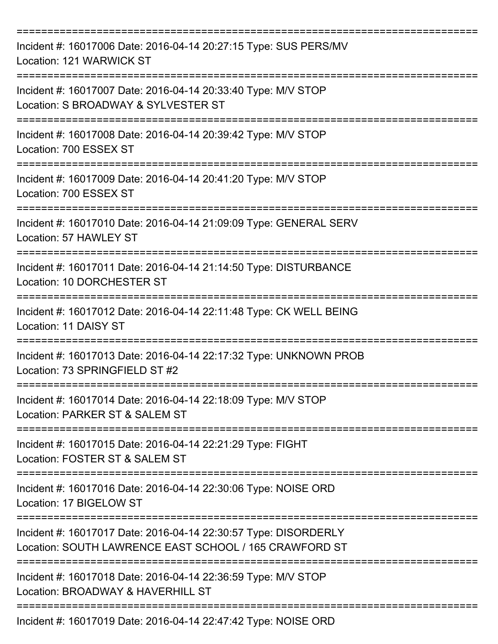| Incident #: 16017006 Date: 2016-04-14 20:27:15 Type: SUS PERS/MV<br>Location: 121 WARWICK ST                                    |
|---------------------------------------------------------------------------------------------------------------------------------|
| Incident #: 16017007 Date: 2016-04-14 20:33:40 Type: M/V STOP<br>Location: S BROADWAY & SYLVESTER ST                            |
| Incident #: 16017008 Date: 2016-04-14 20:39:42 Type: M/V STOP<br>Location: 700 ESSEX ST                                         |
| Incident #: 16017009 Date: 2016-04-14 20:41:20 Type: M/V STOP<br>Location: 700 ESSEX ST                                         |
| Incident #: 16017010 Date: 2016-04-14 21:09:09 Type: GENERAL SERV<br>Location: 57 HAWLEY ST<br>-------------------------------- |
| Incident #: 16017011 Date: 2016-04-14 21:14:50 Type: DISTURBANCE<br>Location: 10 DORCHESTER ST                                  |
| Incident #: 16017012 Date: 2016-04-14 22:11:48 Type: CK WELL BEING<br>Location: 11 DAISY ST                                     |
| Incident #: 16017013 Date: 2016-04-14 22:17:32 Type: UNKNOWN PROB<br>Location: 73 SPRINGFIELD ST #2                             |
| Incident #: 16017014 Date: 2016-04-14 22:18:09 Type: M/V STOP<br>Location: PARKER ST & SALEM ST                                 |
| Incident #: 16017015 Date: 2016-04-14 22:21:29 Type: FIGHT<br>Location: FOSTER ST & SALEM ST                                    |
| Incident #: 16017016 Date: 2016-04-14 22:30:06 Type: NOISE ORD<br>Location: 17 BIGELOW ST                                       |
| Incident #: 16017017 Date: 2016-04-14 22:30:57 Type: DISORDERLY<br>Location: SOUTH LAWRENCE EAST SCHOOL / 165 CRAWFORD ST       |
| Incident #: 16017018 Date: 2016-04-14 22:36:59 Type: M/V STOP<br>Location: BROADWAY & HAVERHILL ST                              |
| Incident #: 16017019 Date: 2016-04-14 22:47:42 Type: NOISE ORD                                                                  |